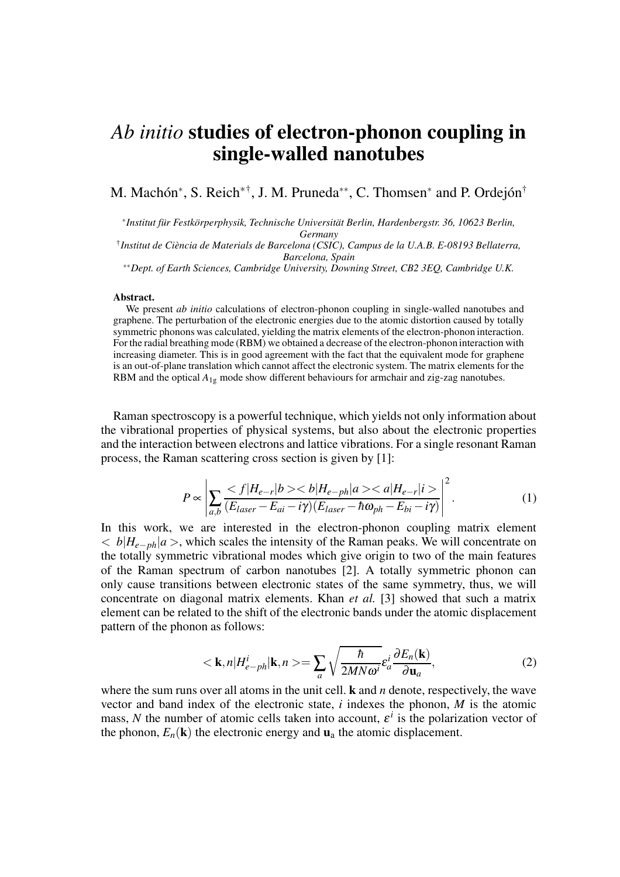## *Ab initio* **studies of electron-phonon coupling in single-walled nanotubes**

M. Machón<sup>∗</sup>, S. Reich<sup>∗†</sup>, J. M. Pruneda<sup>\*\*</sup>, C. Thomsen<sup>\*</sup> and P. Ordejón<sup>†</sup>

∗ *Institut für Festkörperphysik, Technische Universität Berlin, Hardenbergstr. 36, 10623 Berlin, Germany*

† *Institut de Ciència de Materials de Barcelona (CSIC), Campus de la U.A.B. E-08193 Bellaterra, Barcelona, Spain*

∗∗*Dept. of Earth Sciences, Cambridge University, Downing Street, CB2 3EQ, Cambridge U.K.*

## **Abstract.**

We present *ab initio* calculations of electron-phonon coupling in single-walled nanotubes and graphene. The perturbation of the electronic energies due to the atomic distortion caused by totally symmetric phonons was calculated, yielding the matrix elements of the electron-phonon interaction. For the radial breathing mode (RBM) we obtained a decrease of the electron-phonon interaction with increasing diameter. This is in good agreement with the fact that the equivalent mode for graphene is an out-of-plane translation which cannot affect the electronic system. The matrix elements for the RBM and the optical  $A_{1g}$  mode show different behaviours for armchair and zig-zag nanotubes.

Raman spectroscopy is a powerful technique, which yields not only information about the vibrational properties of physical systems, but also about the electronic properties and the interaction between electrons and lattice vibrations. For a single resonant Raman process, the Raman scattering cross section is given by [1]:

$$
P \propto \left| \sum_{a,b} \frac{ |H_{e-ph}|a> }{(E_{laser} - E_{ai} - i\gamma)(E_{laser} - \hbar\omega_{ph} - E_{bi} - i\gamma)} \right|^2.
$$
 (1)

In this work, we are interested in the electron-phonon coupling matrix element < *b*|*He*−*ph*|*a* >, which scales the intensity of the Raman peaks. We will concentrate on the totally symmetric vibrational modes which give origin to two of the main features of the Raman spectrum of carbon nanotubes [2]. A totally symmetric phonon can only cause transitions between electronic states of the same symmetry, thus, we will concentrate on diagonal matrix elements. Khan *et al.* [3] showed that such a matrix element can be related to the shift of the electronic bands under the atomic displacement pattern of the phonon as follows:

$$
\langle \mathbf{k}, n | H_{e-ph}^i | \mathbf{k}, n \rangle = \sum_a \sqrt{\frac{\hbar}{2MN\omega^i}} \varepsilon_a^i \frac{\partial E_n(\mathbf{k})}{\partial \mathbf{u}_a},
$$
(2)

where the sum runs over all atoms in the unit cell. **k** and *n* denote, respectively, the wave vector and band index of the electronic state, *i* indexes the phonon, *M* is the atomic mass, N the number of atomic cells taken into account,  $\varepsilon^i$  is the polarization vector of the phonon,  $E_n(\mathbf{k})$  the electronic energy and  $\mathbf{u}_a$  the atomic displacement.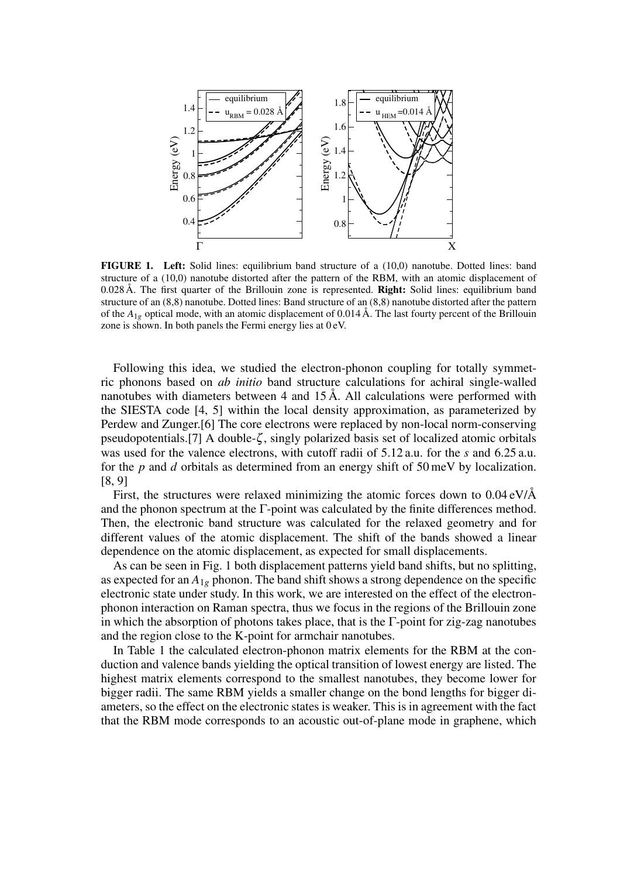

**FIGURE 1. Left:** Solid lines: equilibrium band structure of a (10,0) nanotube. Dotted lines: band structure of a (10,0) nanotube distorted after the pattern of the RBM, with an atomic displacement of 0.028Å. The first quarter of the Brillouin zone is represented. **Right:** Solid lines: equilibrium band structure of an (8,8) nanotube. Dotted lines: Band structure of an (8,8) nanotube distorted after the pattern of the  $A_{1g}$  optical mode, with an atomic displacement of 0.014 Å. The last fourty percent of the Brillouin zone is shown. In both panels the Fermi energy lies at 0 eV.

Following this idea, we studied the electron-phonon coupling for totally symmetric phonons based on *ab initio* band structure calculations for achiral single-walled nanotubes with diameters between 4 and 15 Å. All calculations were performed with the SIESTA code [4, 5] within the local density approximation, as parameterized by Perdew and Zunger.[6] The core electrons were replaced by non-local norm-conserving pseudopotentials.[7] A double-ζ , singly polarized basis set of localized atomic orbitals was used for the valence electrons, with cutoff radii of 5.12 a.u. for the *s* and 6.25 a.u. for the *p* and *d* orbitals as determined from an energy shift of 50 meV by localization. [8, 9]

First, the structures were relaxed minimizing the atomic forces down to 0.04 eV/Å and the phonon spectrum at the Γ-point was calculated by the finite differences method. Then, the electronic band structure was calculated for the relaxed geometry and for different values of the atomic displacement. The shift of the bands showed a linear dependence on the atomic displacement, as expected for small displacements.

As can be seen in Fig. 1 both displacement patterns yield band shifts, but no splitting, as expected for an  $A_{1g}$  phonon. The band shift shows a strong dependence on the specific electronic state under study. In this work, we are interested on the effect of the electronphonon interaction on Raman spectra, thus we focus in the regions of the Brillouin zone in which the absorption of photons takes place, that is the  $\Gamma$ -point for zig-zag nanotubes and the region close to the K-point for armchair nanotubes.

In Table 1 the calculated electron-phonon matrix elements for the RBM at the conduction and valence bands yielding the optical transition of lowest energy are listed. The highest matrix elements correspond to the smallest nanotubes, they become lower for bigger radii. The same RBM yields a smaller change on the bond lengths for bigger diameters, so the effect on the electronic states is weaker. This is in agreement with the fact that the RBM mode corresponds to an acoustic out-of-plane mode in graphene, which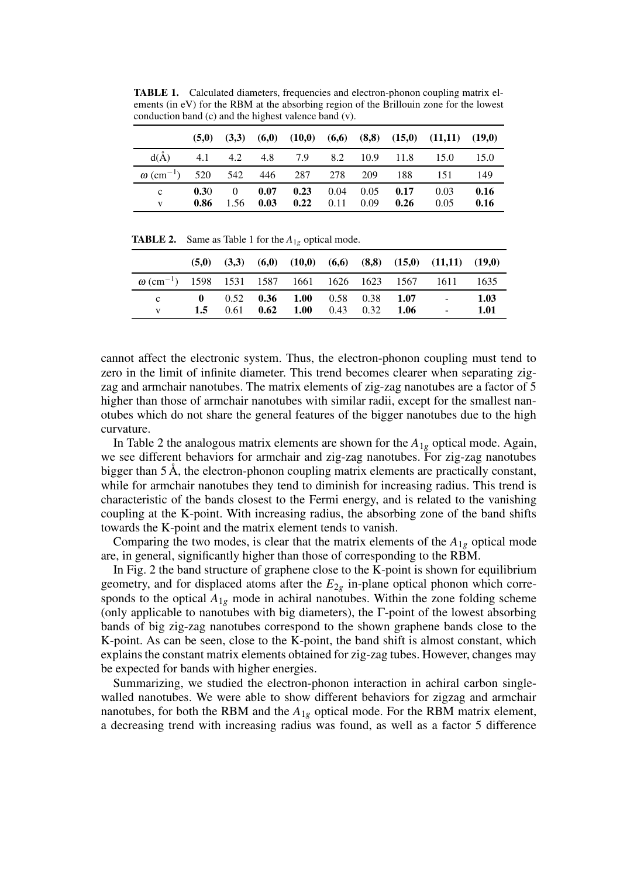**TABLE 1.** Calculated diameters, frequencies and electron-phonon coupling matrix elements (in eV) for the RBM at the absorbing region of the Brillouin zone for the lowest conduction band (c) and the highest valence band (v).

|                                                              |                  |      |                  |                                            |      |      | $(5,0)$ $(3,3)$ $(6,0)$ $(10,0)$ $(6,6)$ $(8,8)$ $(15,0)$ $(11,11)$ $(19,0)$ |              |
|--------------------------------------------------------------|------------------|------|------------------|--------------------------------------------|------|------|------------------------------------------------------------------------------|--------------|
| $d(\dot{A})$                                                 |                  |      |                  |                                            |      |      | 4.1 4.2 4.8 7.9 8.2 10.9 11.8 15.0 15.0                                      |              |
| $\omega$ (cm <sup>-1</sup> ) 520 542 446 287 278 209 188 151 |                  |      |                  |                                            |      |      |                                                                              | -149         |
| $\mathbf{c}$                                                 | $0.30 -$<br>0.86 | 1.56 | 0 $0.07$<br>0.03 | $0.23$ 0.04 0.05 0.17<br>$0.22 \quad 0.11$ | 0.09 | 0.26 | 0.03<br>0.05                                                                 | 0.16<br>0.16 |

**TABLE 2.** Same as Table 1 for the *A*1*<sup>g</sup>* optical mode.

|                                                                           |     |  |                                           |  | $(5,0)$ $(3,3)$ $(6,0)$ $(10,0)$ $(6,6)$ $(8,8)$ $(15,0)$ $(11,11)$ $(19,0)$ |      |
|---------------------------------------------------------------------------|-----|--|-------------------------------------------|--|------------------------------------------------------------------------------|------|
| $\omega$ (cm <sup>-1</sup> ) 1598 1531 1587 1661 1626 1623 1567 1611 1635 |     |  |                                           |  |                                                                              |      |
| $\mathbf{c}$                                                              |     |  |                                           |  | 0 $0.52$ 0.36 1.00 0.58 0.38 1.07 - 1.03                                     |      |
|                                                                           | 1.5 |  | $0.61$ $0.62$ $1.00$ $0.43$ $0.32$ $1.06$ |  | $\Delta \sim 100$                                                            | 1.01 |

cannot affect the electronic system. Thus, the electron-phonon coupling must tend to zero in the limit of infinite diameter. This trend becomes clearer when separating zigzag and armchair nanotubes. The matrix elements of zig-zag nanotubes are a factor of 5 higher than those of armchair nanotubes with similar radii, except for the smallest nanotubes which do not share the general features of the bigger nanotubes due to the high curvature.

In Table 2 the analogous matrix elements are shown for the  $A_{1g}$  optical mode. Again, we see different behaviors for armchair and zig-zag nanotubes. For zig-zag nanotubes bigger than 5 Å, the electron-phonon coupling matrix elements are practically constant, while for armchair nanotubes they tend to diminish for increasing radius. This trend is characteristic of the bands closest to the Fermi energy, and is related to the vanishing coupling at the K-point. With increasing radius, the absorbing zone of the band shifts towards the K-point and the matrix element tends to vanish.

Comparing the two modes, is clear that the matrix elements of the  $A_{1g}$  optical mode are, in general, significantly higher than those of corresponding to the RBM.

In Fig. 2 the band structure of graphene close to the K-point is shown for equilibrium geometry, and for displaced atoms after the  $E_{2g}$  in-plane optical phonon which corresponds to the optical  $A_{1g}$  mode in achiral nanotubes. Within the zone folding scheme (only applicable to nanotubes with big diameters), the  $\Gamma$ -point of the lowest absorbing bands of big zig-zag nanotubes correspond to the shown graphene bands close to the K-point. As can be seen, close to the K-point, the band shift is almost constant, which explains the constant matrix elements obtained for zig-zag tubes. However, changes may be expected for bands with higher energies.

Summarizing, we studied the electron-phonon interaction in achiral carbon singlewalled nanotubes. We were able to show different behaviors for zigzag and armchair nanotubes, for both the RBM and the  $A_{1g}$  optical mode. For the RBM matrix element, a decreasing trend with increasing radius was found, as well as a factor 5 difference